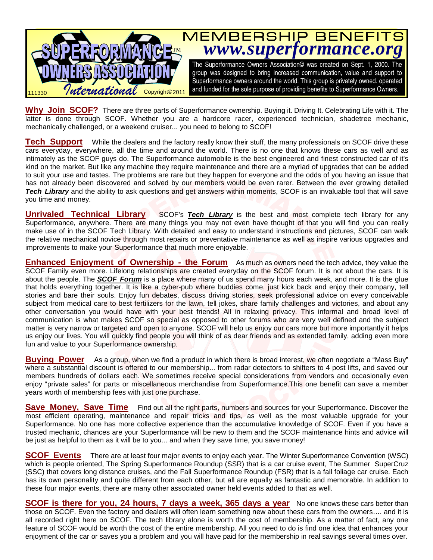

**Why Join SCOF?** There are three parts of Superformance ownership. Buying it. Driving It. Celebrating Life with it. The latter is done through SCOF. Whether you are a hardcore racer, experienced technician, shadetree mechanic, mechanically challenged, or a weekend cruiser... you need to belong to SCOF!

**Tech Support** While the dealers and the factory really know their stuff, the many professionals on SCOF drive these cars everyday, everywhere, all the time and around the world. There is no one that knows these cars as well and as intimately as the SCOF guys do. The Superformance automobile is the best engineered and finest constructed car of it's kind on the market. But like any machine they require maintenance and there are a myriad of upgrades that can be added to suit your use and tastes. The problems are rare but they happen for everyone and the odds of you having an issue that has not already been discovered and solved by our members would be even rarer. Between the ever growing detailed **Tech Library** and the ability to ask questions and get answers within moments, SCOF is an invaluable tool that will save you time and money.

**Unrivaled Technical Library** SCOF's **Tech Library** is the best and most complete tech library for any Superformance, anywhere. There are many things you may not even have thought of that you will find you can really make use of in the SCOF Tech Library. With detailed and easy to understand instructions and pictures, SCOF can walk the relative mechanical novice through most repairs or preventative maintenance as well as inspire various upgrades and improvements to make your Superformance that much more enjoyable.

**Enhanced Enjoyment of Ownership - the Forum** As much as owners need the tech advice, they value the SCOF Family even more. Lifelong relationships are created everyday on the SCOF forum. It is not about the cars. It is about the people. The **SCOF Forum** is a place where many of us spend many hours each week, and more. It is the glue that holds everything together. It is like a cyber-pub where buddies come, just kick back and enjoy their company, tell stories and bare their souls. Enjoy fun debates, discuss driving stories, seek professional advice on every conceivable subject from medical care to best fertilizers for the lawn, tell jokes, share family challenges and victories, and about any other conversation you would have with your best friends! All in relaxing privacy. This informal and broad level of communication is what makes SCOF so special as opposed to other forums who are very well defined and the subject matter is very narrow or targeted and open to anyone. SCOF will help us enjoy our cars more but more importantly it helps us enjoy our lives. You will quickly find people you will think of as dear friends and as extended family, adding even more fun and value to your Superformance ownership.

**Buying Power** As a group, when we find a product in which there is broad interest, we often negotiate a "Mass Buy" where a substantial discount is offered to our membership... from radar detectors to shifters to 4 post lifts, and saved our members hundreds of dollars each. We sometimes receive special considerations from vendors and occasionally even enjoy "private sales" for parts or miscellaneous merchandise from Superformance.This one benefit can save a member years worth of membership fees with just one purchase.

**Save Money, Save Time** Find out all the right parts, numbers and sources for your Superformance. Discover the most efficient operating, maintenance and repair tricks and tips, as well as the most valuable upgrade for your Superformance. No one has more collective experience than the accumulative knowledge of SCOF. Even if you have a trusted mechanic, chances are your Superformance will be new to them and the SCOF maintenance hints and advice will be just as helpful to them as it will be to you... and when they save time, you save money!

**SCOF Events** There are at least four major events to enjoy each year. The Winter Superformance Convention (WSC) which is people oriented, The Spring Superformance Roundup (SSR) that is a car cruise event, The Summer SuperCruz (SSC) that covers long distance cruises, and the Fall Superformance Roundup (FSR) that is a fall foliage car cruise. Each has its own personality and quite different from each other, but all are equally as fantastic and memorable. In addition to these four major events, there are many other associated owner held events added to that as well.

**SCOF is there for you, 24 hours, 7 days a week, 365 days a year** No one knows these cars better than those on SCOF. Even the factory and dealers will often learn something new about these cars from the owners…. and it is all recorded right here on SCOF. The tech library alone is worth the cost of membership. As a matter of fact, any one feature of SCOF would be worth the cost of the entire membership. All you need to do is find one idea that enhances your enjoyment of the car or saves you a problem and you will have paid for the membership in real savings several times over.